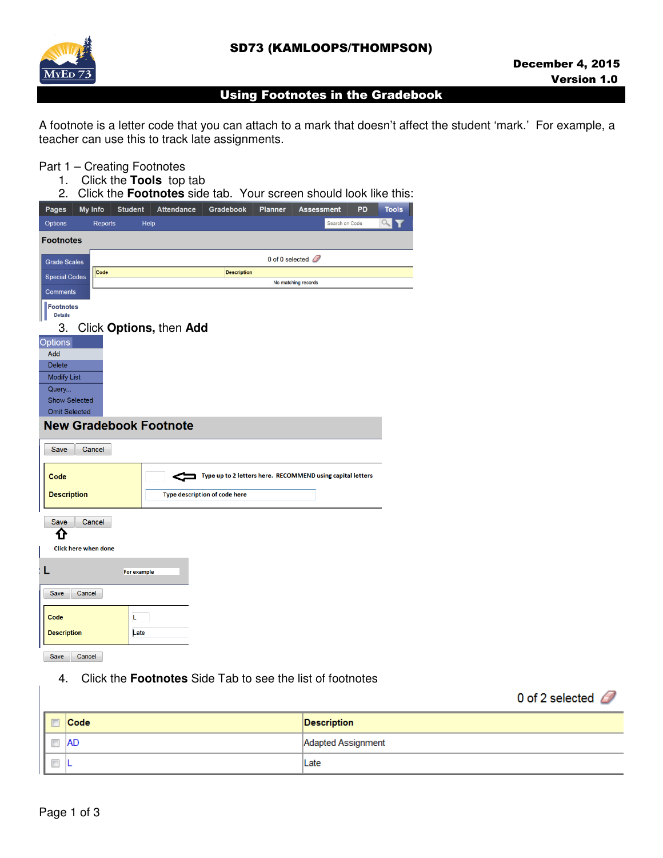

## Using Footnotes in the Gradebook

A footnote is a letter code that you can attach to a mark that doesn't affect the student 'mark.' For example, a teacher can use this to track late assignments.

### Part 1 – Creating Footnotes

- 1. Click the **Tools** top tab
- 2. Click the **Footnotes** side tab. Your screen should look like this:

| <b>Pages</b><br>My Info<br><b>Student</b> | <b>Attendance</b> | Gradebook                     | <b>Planner</b> | <b>Assessment</b>                                          | PD | <b>Tools</b> |
|-------------------------------------------|-------------------|-------------------------------|----------------|------------------------------------------------------------|----|--------------|
| <b>Options</b><br><b>Reports</b>          | Help              |                               |                | Search on Code                                             |    | a            |
| <b>Footnotes</b>                          |                   |                               |                |                                                            |    |              |
| <b>Grade Scales</b>                       |                   |                               |                | 0 of 0 selected                                            |    |              |
| Code<br><b>Special Codes</b>              |                   | <b>Description</b>            |                |                                                            |    |              |
|                                           |                   |                               |                | No matching records                                        |    |              |
| <b>Comments</b><br><b>Footnotes</b>       |                   |                               |                |                                                            |    |              |
| <b>Details</b>                            |                   |                               |                |                                                            |    |              |
| Click Options, then Add<br>3.             |                   |                               |                |                                                            |    |              |
| <b>Options</b>                            |                   |                               |                |                                                            |    |              |
| Add<br><b>Delete</b>                      |                   |                               |                |                                                            |    |              |
| <b>Modify List</b>                        |                   |                               |                |                                                            |    |              |
| Query                                     |                   |                               |                |                                                            |    |              |
| <b>Show Selected</b>                      |                   |                               |                |                                                            |    |              |
| <b>Omit Selected</b>                      |                   |                               |                |                                                            |    |              |
| <b>New Gradebook Footnote</b>             |                   |                               |                |                                                            |    |              |
| Save<br>Cancel                            |                   |                               |                |                                                            |    |              |
|                                           |                   |                               |                |                                                            |    |              |
| Code                                      | c                 |                               |                | Type up to 2 letters here. RECOMMEND using capital letters |    |              |
| <b>Description</b>                        |                   | Type description of code here |                |                                                            |    |              |
|                                           |                   |                               |                |                                                            |    |              |
| Save<br>Cancel                            |                   |                               |                |                                                            |    |              |
| ⇧                                         |                   |                               |                |                                                            |    |              |
| Click here when done                      |                   |                               |                |                                                            |    |              |
| L<br><b>For example</b>                   |                   |                               |                |                                                            |    |              |
|                                           |                   |                               |                |                                                            |    |              |
| Save<br>Cancel                            |                   |                               |                |                                                            |    |              |
| Code<br>L                                 |                   |                               |                |                                                            |    |              |
| <b>Description</b><br>Late                |                   |                               |                |                                                            |    |              |
|                                           |                   |                               |                |                                                            |    |              |

Save Cancel

4. Click the **Footnotes** Side Tab to see the list of footnotes

0 of 2 selected  $\mathcal{D}$ 

| Code | Description        |
|------|--------------------|
| AD   | Adapted Assignment |
|      | Late               |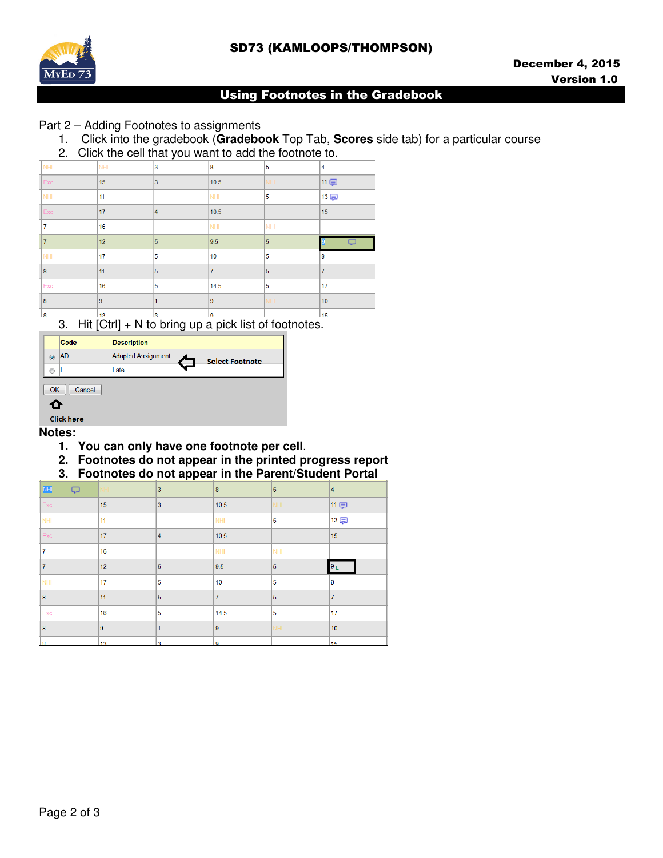# SD73 (KAMLOOPS/THOMPSON)



### Using Footnotes in the Gradebook

## Part 2 – Adding Footnotes to assignments

- 1. Click into the gradebook (**Gradebook** Top Tab, **Scores** side tab) for a particular course
- 2. Click the cell that you want to add the footnote to.

|                         |                | - |                |                |                |  |
|-------------------------|----------------|---|----------------|----------------|----------------|--|
| NHI                     | <b>NHI</b>     | 3 | 8              | 5              | $\overline{4}$ |  |
| Exc                     | 15             | 3 | 10.5           | NHI.           | 11 (二)         |  |
| NHI                     | 11             |   | NHI            | 5              | 13 中           |  |
| Exc                     | 17             | 4 | 10.5           |                | 15             |  |
| 17                      | 16             |   | NHI            | NHI            |                |  |
| 17                      | 12             | 5 | 9.5            | $\overline{5}$ |                |  |
| NHI                     | 17             | 5 | 10             | 5              | 18             |  |
| $\overline{\mathbf{8}}$ | 11             | 5 | $\overline{7}$ | 5              | 17             |  |
| Exc                     | 16             | 5 | 14.5           | 5              | 17             |  |
| $\overline{\mathbf{8}}$ | $\overline{9}$ | 1 | $\overline{9}$ | NHI            | 10             |  |
| 8                       | 13             | 3 | 19             |                | 15             |  |

3. Hit [Ctrl] + N to bring up a pick list of footnotes.

|                | Code              | <b>Description</b>                                  |
|----------------|-------------------|-----------------------------------------------------|
| $\circledcirc$ | <b>AD</b>         | <b>Adapted Assignment</b><br><b>Select Footnote</b> |
| ⋒              |                   | Late                                                |
| OK             | Cancel            |                                                     |
| œ              |                   |                                                     |
|                | <b>Click here</b> |                                                     |

### **Notes:**

- **1. You can only have one footnote per cell**.
- **2. Footnotes do not appear in the printed progress report**
- **3. Footnotes do not appear in the Parent/Student Portal**

| N <sub>H</sub><br>Q | NHI.            | 3              | 8               | 5    | $\overline{4}$ |
|---------------------|-----------------|----------------|-----------------|------|----------------|
| Exc                 | 15              | 3              | 10.5            | NHI- | 11 (二)         |
| NHI                 | 11              |                | NHI             | 5    | 13回            |
| Exc                 | 17              | $\overline{4}$ | 10.5            |      | 15             |
| 7                   | 16              |                | NHI             | NHI  |                |
| $\overline{7}$      | 12              | 5              | 9.5             | 5    | 9 <sub>1</sub> |
| NHI                 | 17              | 5              | 10 <sub>1</sub> | 5    | 8              |
| 8                   | 11              | 5              | $\overline{7}$  | 5    | $\overline{7}$ |
| Exc                 | 16              | 5              | 14.5            | 5    | 17             |
| 8                   | 9               | 1              | 19              | NHI  | 10             |
| $\mathbf{R}$        | 13 <sup>°</sup> | $\overline{a}$ | ۱q              |      | 15             |